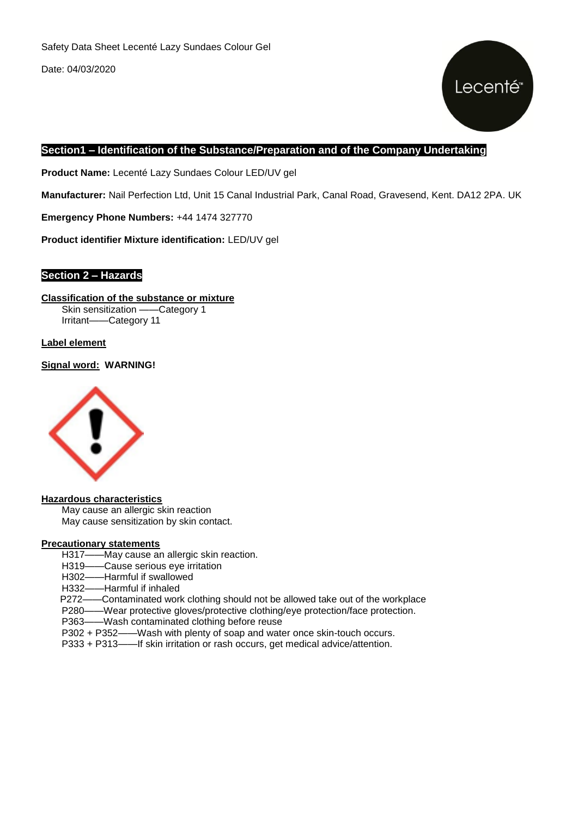

#### **Section1 – Identification of the Substance/Preparation and of the Company Undertaking**

**Product Name:** Lecenté Lazy Sundaes Colour LED/UV gel

**Manufacturer:** Nail Perfection Ltd, Unit 15 Canal Industrial Park, Canal Road, Gravesend, Kent. DA12 2PA. UK

**Emergency Phone Numbers:** +44 1474 327770

**Product identifier Mixture identification:** LED/UV gel

#### **Section 2 – Hazards**

**Classification of the substance or mixture** Skin sensitization ——Category 1 Irritant——Category 11

**Label element**

**Signal word: WARNING!**



#### **Hazardous characteristics**

May cause an allergic skin reaction May cause sensitization by skin contact.

#### **Precautionary statements**

- H317——May cause an allergic skin reaction.
- H319——Cause serious eye irritation
- H302——Harmful if swallowed
- H332——Harmful if inhaled

P272——Contaminated work clothing should not be allowed take out of the workplace

- P280——Wear protective gloves/protective clothing/eye protection/face protection.
- P363——Wash contaminated clothing before reuse
- P302 + P352——Wash with plenty of soap and water once skin-touch occurs.
- P333 + P313——If skin irritation or rash occurs, get medical advice/attention.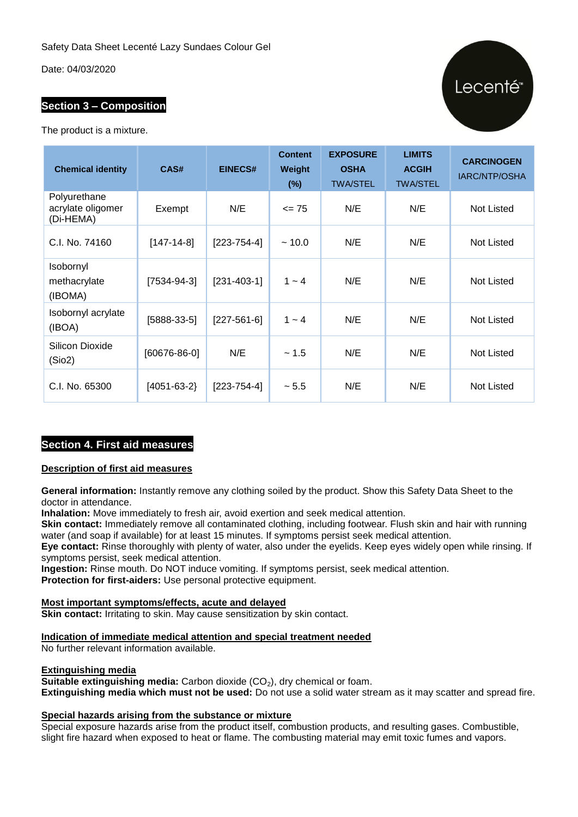#### **Section 3 – Composition**

The product is a mixture.

| <b>Chemical identity</b>                       | CAS#              | <b>EINECS#</b>    | <b>Content</b><br>Weight<br>$(\%)$ | <b>EXPOSURE</b><br><b>OSHA</b><br><b>TWA/STEL</b> | <b>LIMITS</b><br><b>ACGIH</b><br><b>TWA/STEL</b> | <b>CARCINOGEN</b><br>IARC/NTP/OSHA |
|------------------------------------------------|-------------------|-------------------|------------------------------------|---------------------------------------------------|--------------------------------------------------|------------------------------------|
| Polyurethane<br>acrylate oligomer<br>(Di-HEMA) | Exempt            | N/E               | $= 75$                             | N/E                                               | N/E                                              | Not Listed                         |
| C.I. No. 74160                                 | $[147-14-8]$      | $[223 - 754 - 4]$ | ~10.0                              | N/E                                               | N/E                                              | Not Listed                         |
| Isobornyl<br>methacrylate<br>(IBOMA)           | $[7534-94-3]$     | $[231 - 403 - 1]$ | $1 - 4$                            | N/E                                               | N/E                                              | <b>Not Listed</b>                  |
| Isobornyl acrylate<br>(IBOA)                   | $[5888-33-5]$     | $[227-561-6]$     | $1 - 4$                            | N/E                                               | N/E                                              | Not Listed                         |
| Silicon Dioxide<br>(Sio2)                      | [60676-86-0]      | N/E               | ~1.5                               | N/E                                               | N/E                                              | <b>Not Listed</b>                  |
| C.I. No. 65300                                 | $[4051 - 63 - 2]$ | $[223 - 754 - 4]$ | ~5.5                               | N/E                                               | N/E                                              | <b>Not Listed</b>                  |

#### **Section 4. First aid measures**

#### **Description of first aid measures**

**General information:** Instantly remove any clothing soiled by the product. Show this Safety Data Sheet to the doctor in attendance.

**Inhalation:** Move immediately to fresh air, avoid exertion and seek medical attention.

**Skin contact:** Immediately remove all contaminated clothing, including footwear. Flush skin and hair with running water (and soap if available) for at least 15 minutes. If symptoms persist seek medical attention.

**Eye contact:** Rinse thoroughly with plenty of water, also under the eyelids. Keep eyes widely open while rinsing. If symptoms persist, seek medical attention.

**Ingestion:** Rinse mouth. Do NOT induce vomiting. If symptoms persist, seek medical attention. **Protection for first-aiders:** Use personal protective equipment.

#### **Most important symptoms/effects, acute and delayed**

**Skin contact:** Irritating to skin. May cause sensitization by skin contact.

**Indication of immediate medical attention and special treatment needed**

No further relevant information available.

#### **Extinguishing media**

**Suitable extinguishing media:** Carbon dioxide (CO<sub>2</sub>), dry chemical or foam.

**Extinguishing media which must not be used:** Do not use a solid water stream as it may scatter and spread fire.

#### **Special hazards arising from the substance or mixture**

Special exposure hazards arise from the product itself, combustion products, and resulting gases. Combustible, slight fire hazard when exposed to heat or flame. The combusting material may emit toxic fumes and vapors.

### Lecenté<sup>®</sup>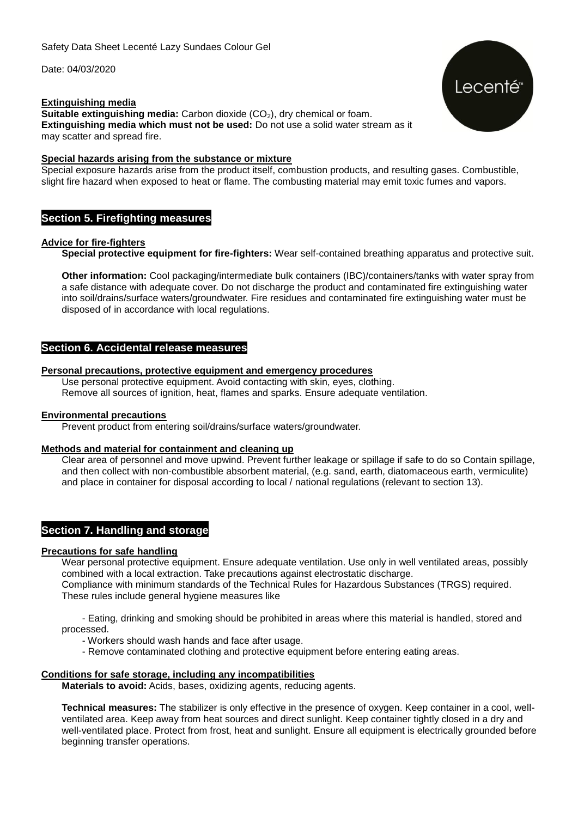#### **Extinguishing media**

**Suitable extinguishing media:** Carbon dioxide (CO<sub>2</sub>), dry chemical or foam. **Extinguishing media which must not be used:** Do not use a solid water stream as it may scatter and spread fire.

#### **Special hazards arising from the substance or mixture**

Special exposure hazards arise from the product itself, combustion products, and resulting gases. Combustible, slight fire hazard when exposed to heat or flame. The combusting material may emit toxic fumes and vapors.

#### **Section 5. Firefighting measures**

#### **Advice for fire-fighters**

**Special protective equipment for fire-fighters:** Wear self-contained breathing apparatus and protective suit.

**Other information:** Cool packaging/intermediate bulk containers (IBC)/containers/tanks with water spray from a safe distance with adequate cover. Do not discharge the product and contaminated fire extinguishing water into soil/drains/surface waters/groundwater. Fire residues and contaminated fire extinguishing water must be disposed of in accordance with local regulations.

#### **Section 6. Accidental release measures**

#### **Personal precautions, protective equipment and emergency procedures**

Use personal protective equipment. Avoid contacting with skin, eyes, clothing. Remove all sources of ignition, heat, flames and sparks. Ensure adequate ventilation.

#### **Environmental precautions**

Prevent product from entering soil/drains/surface waters/groundwater.

#### **Methods and material for containment and cleaning up**

Clear area of personnel and move upwind. Prevent further leakage or spillage if safe to do so Contain spillage, and then collect with non-combustible absorbent material, (e.g. sand, earth, diatomaceous earth, vermiculite) and place in container for disposal according to local / national regulations (relevant to section 13).

#### **Section 7. Handling and storage**

#### **Precautions for safe handling**

Wear personal protective equipment. Ensure adequate ventilation. Use only in well ventilated areas, possibly combined with a local extraction. Take precautions against electrostatic discharge. Compliance with minimum standards of the Technical Rules for Hazardous Substances (TRGS) required. These rules include general hygiene measures like

- Eating, drinking and smoking should be prohibited in areas where this material is handled, stored and processed.

- Workers should wash hands and face after usage.
- Remove contaminated clothing and protective equipment before entering eating areas.

#### **Conditions for safe storage, including any incompatibilities**

**Materials to avoid:** Acids, bases, oxidizing agents, reducing agents.

**Technical measures:** The stabilizer is only effective in the presence of oxygen. Keep container in a cool, wellventilated area. Keep away from heat sources and direct sunlight. Keep container tightly closed in a dry and well-ventilated place. Protect from frost, heat and sunlight. Ensure all equipment is electrically grounded before beginning transfer operations.

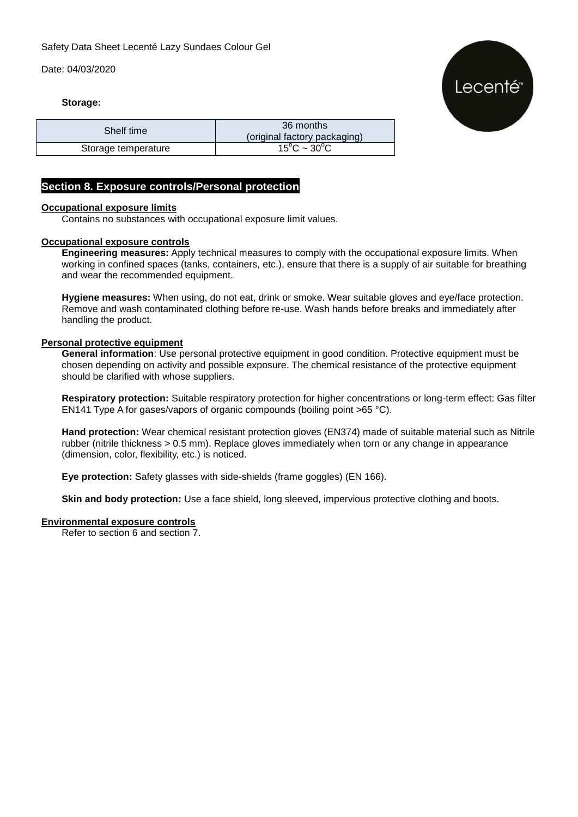# Lecenté<sup>®</sup>

#### **Storage:**

| Shelf time          | 36 months<br>(original factory packaging) |  |  |
|---------------------|-------------------------------------------|--|--|
| Storage temperature | $15^{\circ}$ C ~ 30 $^{\circ}$ C          |  |  |

#### **Section 8. Exposure controls/Personal protection**

#### **Occupational exposure limits**

Contains no substances with occupational exposure limit values.

#### **Occupational exposure controls**

**Engineering measures:** Apply technical measures to comply with the occupational exposure limits. When working in confined spaces (tanks, containers, etc.), ensure that there is a supply of air suitable for breathing and wear the recommended equipment.

**Hygiene measures:** When using, do not eat, drink or smoke. Wear suitable gloves and eye/face protection. Remove and wash contaminated clothing before re-use. Wash hands before breaks and immediately after handling the product.

#### **Personal protective equipment**

**General information**: Use personal protective equipment in good condition. Protective equipment must be chosen depending on activity and possible exposure. The chemical resistance of the protective equipment should be clarified with whose suppliers.

**Respiratory protection:** Suitable respiratory protection for higher concentrations or long-term effect: Gas filter EN141 Type A for gases/vapors of organic compounds (boiling point >65 °C).

**Hand protection:** Wear chemical resistant protection gloves (EN374) made of suitable material such as Nitrile rubber (nitrile thickness > 0.5 mm). Replace gloves immediately when torn or any change in appearance (dimension, color, flexibility, etc.) is noticed.

**Eye protection:** Safety glasses with side-shields (frame goggles) (EN 166).

**Skin and body protection:** Use a face shield, long sleeved, impervious protective clothing and boots.

#### **Environmental exposure controls**

Refer to section 6 and section 7.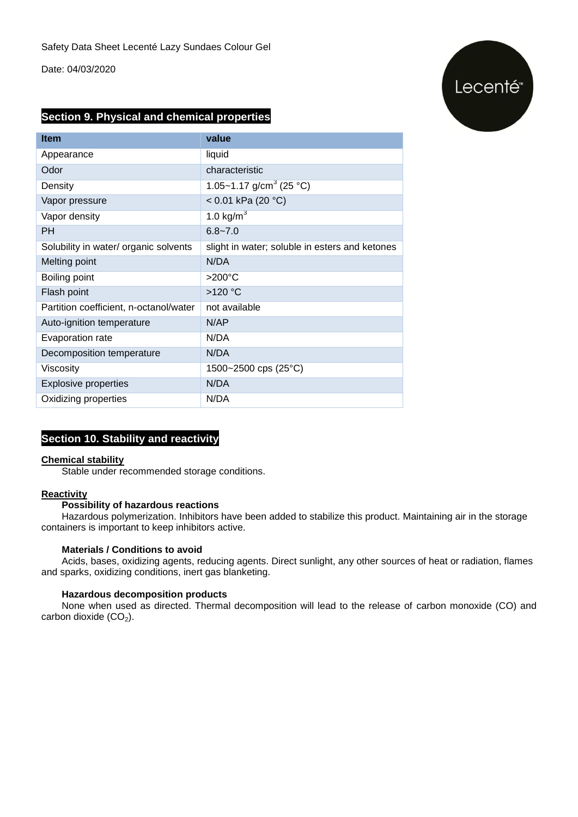## Lecenté<sup>®</sup>

#### **Section 9. Physical and chemical properties**

| <b>Item</b>                            | value                                          |  |  |
|----------------------------------------|------------------------------------------------|--|--|
| Appearance                             | liquid                                         |  |  |
| Odor                                   | characteristic                                 |  |  |
| Density                                | 1.05~1.17 g/cm <sup>3</sup> (25 °C)            |  |  |
| Vapor pressure                         | < $0.01$ kPa (20 °C)                           |  |  |
| Vapor density                          | 1.0 kg/ $m^3$                                  |  |  |
| <b>PH</b>                              | $6.8 - 7.0$                                    |  |  |
| Solubility in water/ organic solvents  | slight in water; soluble in esters and ketones |  |  |
| Melting point                          | N/DA                                           |  |  |
| Boiling point                          | $>200^{\circ}$ C                               |  |  |
| Flash point                            | >120 °C                                        |  |  |
| Partition coefficient, n-octanol/water | not available                                  |  |  |
| Auto-ignition temperature              | N/AP                                           |  |  |
| Evaporation rate                       | N/DA                                           |  |  |
| Decomposition temperature              | N/DA                                           |  |  |
| Viscosity                              | 1500~2500 cps $(25^{\circ}C)$                  |  |  |
| <b>Explosive properties</b>            | N/DA                                           |  |  |
| Oxidizing properties                   | N/DA                                           |  |  |

#### **Section 10. Stability and reactivity**

#### **Chemical stability**

Stable under recommended storage conditions.

#### **Reactivity**

#### **Possibility of hazardous reactions**

Hazardous polymerization. Inhibitors have been added to stabilize this product. Maintaining air in the storage containers is important to keep inhibitors active.

#### **Materials / Conditions to avoid**

Acids, bases, oxidizing agents, reducing agents. Direct sunlight, any other sources of heat or radiation, flames and sparks, oxidizing conditions, inert gas blanketing.

#### **Hazardous decomposition products**

None when used as directed. Thermal decomposition will lead to the release of carbon monoxide (CO) and carbon dioxide  $(CO<sub>2</sub>)$ .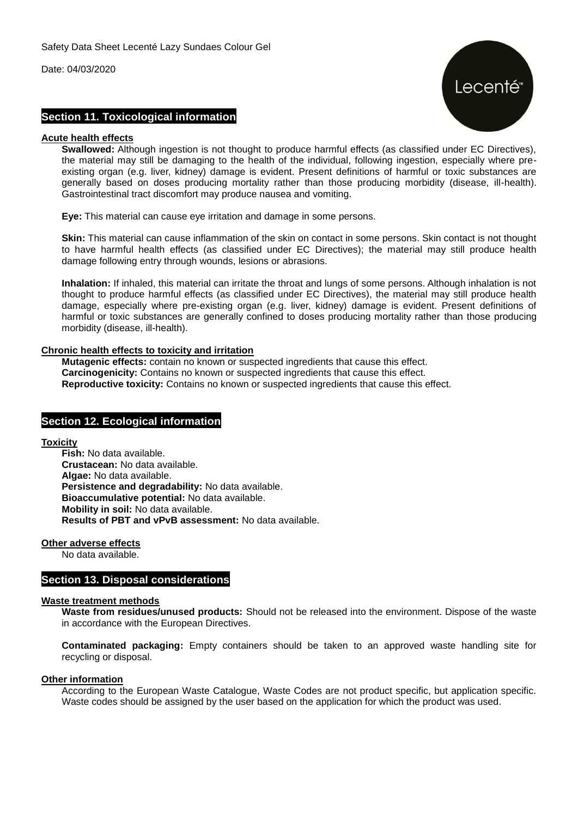

#### **Section 11. Toxicological information**

#### **Acute health effects**

**Swallowed:** Although ingestion is not thought to produce harmful effects (as classified under EC Directives), the material may still be damaging to the health of the individual, following ingestion, especially where preexisting organ (e.g. liver, kidney) damage is evident. Present definitions of harmful or toxic substances are generally based on doses producing mortality rather than those producing morbidity (disease, ill-health). Gastrointestinal tract discomfort may produce nausea and vomiting.

**Eye:** This material can cause eye irritation and damage in some persons.

**Skin:** This material can cause inflammation of the skin on contact in some persons. Skin contact is not thought to have harmful health effects (as classified under EC Directives); the material may still produce health damage following entry through wounds, lesions or abrasions.

**Inhalation:** If inhaled, this material can irritate the throat and lungs of some persons. Although inhalation is not thought to produce harmful effects (as classified under EC Directives), the material may still produce health damage, especially where pre-existing organ (e.g. liver, kidney) damage is evident. Present definitions of harmful or toxic substances are generally confined to doses producing mortality rather than those producing morbidity (disease, ill-health).

#### **Chronic health effects to toxicity and irritation**

**Mutagenic effects:** contain no known or suspected ingredients that cause this effect. **Carcinogenicity:** Contains no known or suspected ingredients that cause this effect. **Reproductive toxicity:** Contains no known or suspected ingredients that cause this effect.

#### **Section 12. Ecological information**

**Toxicity**

**Fish:** No data available. **Crustacean:** No data available. **Algae:** No data available. **Persistence and degradability:** No data available. **Bioaccumulative potential:** No data available. **Mobility in soil:** No data available. **Results of PBT and vPvB assessment:** No data available.

**Other adverse effects**

No data available.

#### **Section 13. Disposal considerations**

#### **Waste treatment methods**

**Waste from residues/unused products:** Should not be released into the environment. Dispose of the waste in accordance with the European Directives.

**Contaminated packaging:** Empty containers should be taken to an approved waste handling site for recycling or disposal.

#### **Other information**

According to the European Waste Catalogue, Waste Codes are not product specific, but application specific. Waste codes should be assigned by the user based on the application for which the product was used.